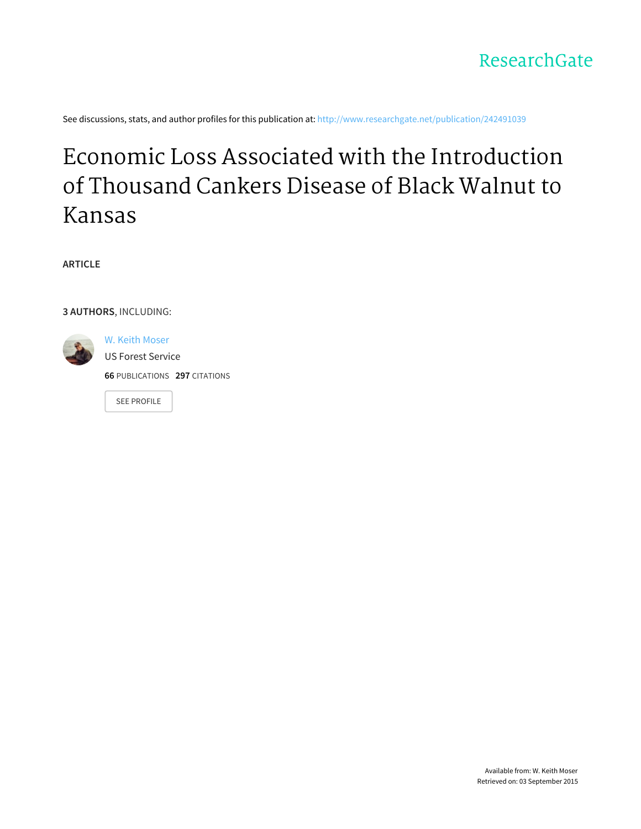

See discussions, stats, and author profiles for this publication at: [http://www.researchgate.net/publication/242491039](http://www.researchgate.net/publication/242491039_Economic_Loss_Associated_with_the_Introduction_of_Thousand_Cankers_Disease_of_Black_Walnut_to_Kansas?enrichId=rgreq-0c1f0185-a3df-4b46-8c91-46fb16c86715&enrichSource=Y292ZXJQYWdlOzI0MjQ5MTAzOTtBUzoxNzIxODU1MTk5MjcyOTZAMTQxODA2MzYzNTgyMQ%3D%3D&el=1_x_2)

# Economic Loss Associated with the [Introduction](http://www.researchgate.net/publication/242491039_Economic_Loss_Associated_with_the_Introduction_of_Thousand_Cankers_Disease_of_Black_Walnut_to_Kansas?enrichId=rgreq-0c1f0185-a3df-4b46-8c91-46fb16c86715&enrichSource=Y292ZXJQYWdlOzI0MjQ5MTAzOTtBUzoxNzIxODU1MTk5MjcyOTZAMTQxODA2MzYzNTgyMQ%3D%3D&el=1_x_3) of Thousand Cankers Disease of Black Walnut to Kansas

**ARTICLE**

**3 AUTHORS**, INCLUDING:



W. Keith [Moser](http://www.researchgate.net/profile/W_Moser?enrichId=rgreq-0c1f0185-a3df-4b46-8c91-46fb16c86715&enrichSource=Y292ZXJQYWdlOzI0MjQ5MTAzOTtBUzoxNzIxODU1MTk5MjcyOTZAMTQxODA2MzYzNTgyMQ%3D%3D&el=1_x_5) US Forest [Service](http://www.researchgate.net/institution/US_Forest_Service?enrichId=rgreq-0c1f0185-a3df-4b46-8c91-46fb16c86715&enrichSource=Y292ZXJQYWdlOzI0MjQ5MTAzOTtBUzoxNzIxODU1MTk5MjcyOTZAMTQxODA2MzYzNTgyMQ%3D%3D&el=1_x_6) **66** PUBLICATIONS **297** CITATIONS

SEE [PROFILE](http://www.researchgate.net/profile/W_Moser?enrichId=rgreq-0c1f0185-a3df-4b46-8c91-46fb16c86715&enrichSource=Y292ZXJQYWdlOzI0MjQ5MTAzOTtBUzoxNzIxODU1MTk5MjcyOTZAMTQxODA2MzYzNTgyMQ%3D%3D&el=1_x_7)

Available from: W. Keith Moser Retrieved on: 03 September 2015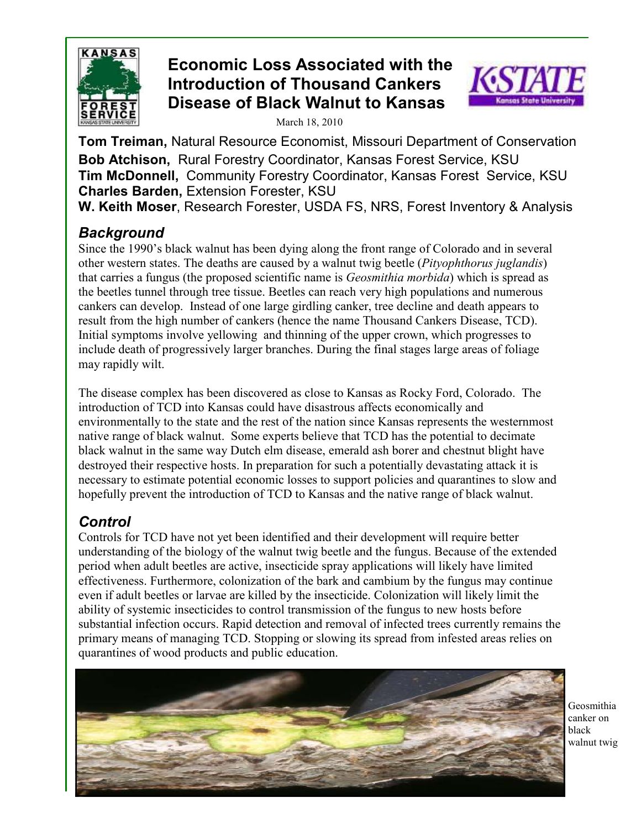

# **Economic Loss Associated with the Introduction of Thousand Cankers Disease of Black Walnut to Kansas**



March 18, 2010

**Tom Treiman,** Natural Resource Economist, Missouri Department of Conservation **Bob Atchison,** Rural Forestry Coordinator, Kansas Forest Service, KSU **Tim McDonnell,** Community Forestry Coordinator, Kansas Forest Service, KSU **Charles Barden,** Extension Forester, KSU **W. Keith Moser**, Research Forester, USDA FS, NRS, Forest Inventory & Analysis

## *Background*

Since the 1990's black walnut has been dying along the front range of Colorado and in several other western states. The deaths are caused by a walnut twig beetle (*Pityophthorus juglandis*) that carries a fungus (the proposed scientific name is *Geosmithia morbida*) which is spread as the beetles tunnel through tree tissue. Beetles can reach very high populations and numerous cankers can develop. Instead of one large girdling canker, tree decline and death appears to result from the high number of cankers (hence the name Thousand Cankers Disease, TCD). Initial symptoms involve yellowing and thinning of the upper crown, which progresses to include death of progressively larger branches. During the final stages large areas of foliage may rapidly wilt.

The disease complex has been discovered as close to Kansas as Rocky Ford, Colorado. The introduction of TCD into Kansas could have disastrous affects economically and environmentally to the state and the rest of the nation since Kansas represents the westernmost native range of black walnut. Some experts believe that TCD has the potential to decimate black walnut in the same way Dutch elm disease, emerald ash borer and chestnut blight have destroyed their respective hosts. In preparation for such a potentially devastating attack it is necessary to estimate potential economic losses to support policies and quarantines to slow and hopefully prevent the introduction of TCD to Kansas and the native range of black walnut.

# *Control*

Controls for TCD have not yet been identified and their development will require better understanding of the biology of the walnut twig beetle and the fungus. Because of the extended period when adult beetles are active, insecticide spray applications will likely have limited effectiveness. Furthermore, colonization of the bark and cambium by the fungus may continue even if adult beetles or larvae are killed by the insecticide. Colonization will likely limit the ability of systemic insecticides to control transmission of the fungus to new hosts before substantial infection occurs. Rapid detection and removal of infected trees currently remains the primary means of managing TCD. Stopping or slowing its spread from infested areas relies on quarantines of wood products and public education.



Geosmithia canker on black walnut twig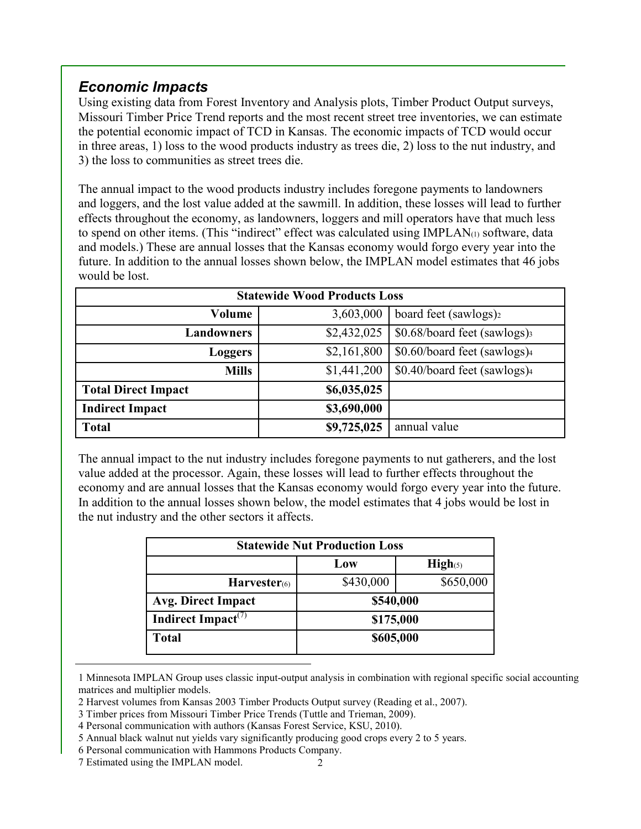## *Economic Impacts*

Using existing data from Forest Inventory and Analysis plots, Timber Product Output surveys, Missouri Timber Price Trend reports and the most recent street tree inventories, we can estimate the potential economic impact of TCD in Kansas. The economic impacts of TCD would occur in three areas, 1) loss to the wood products industry as trees die, 2) loss to the nut industry, and 3) the loss to communities as street trees die.

The annual impact to the wood products industry includes foregone payments to landowners and loggers, and the lost value added at the sawmill. In addition, these losses will lead to further effects throughout the economy, as landowners, loggers and mill operators have that much less to spend on other items. (This "indirect" effect was calculated using IMPLAN(1) software, data and models.) These are annual losses that the Kansas economy would forgo every year into the future. In addition to the annual losses shown below, the IMPLAN model estimates that 46 jobs would be lost.

| <b>Statewide Wood Products Loss</b> |             |                                   |  |  |  |  |  |
|-------------------------------------|-------------|-----------------------------------|--|--|--|--|--|
| Volume                              | 3,603,000   | board feet (sawlogs) <sub>2</sub> |  |  |  |  |  |
| <b>Landowners</b>                   | \$2,432,025 | \$0.68/board feet (sawlogs)       |  |  |  |  |  |
| <b>Loggers</b>                      | \$2,161,800 | \$0.60/board feet (sawlogs)4      |  |  |  |  |  |
| <b>Mills</b>                        | \$1,441,200 | \$0.40/board feet (sawlogs)4      |  |  |  |  |  |
| <b>Total Direct Impact</b>          | \$6,035,025 |                                   |  |  |  |  |  |
| <b>Indirect Impact</b>              | \$3,690,000 |                                   |  |  |  |  |  |
| <b>Total</b>                        | \$9,725,025 | annual value                      |  |  |  |  |  |

The annual impact to the nut industry includes foregone payments to nut gatherers, and the lost value added at the processor. Again, these losses will lead to further effects throughout the economy and are annual losses that the Kansas economy would forgo every year into the future. In addition to the annual losses shown below, the model estimates that 4 jobs would be lost in the nut industry and the other sectors it affects.

| <b>Statewide Nut Production Loss</b>        |           |                    |  |  |  |
|---------------------------------------------|-----------|--------------------|--|--|--|
|                                             | Low       | $\mathbf{High}(5)$ |  |  |  |
| $Harvester$ <sup>(6)</sup>                  | \$430,000 | \$650,000          |  |  |  |
| Avg. Direct Impact                          | \$540,000 |                    |  |  |  |
| Indirect Impact <sup><math>(7)</math></sup> | \$175,000 |                    |  |  |  |
| <b>Total</b>                                | \$605,000 |                    |  |  |  |

<sup>1</sup> Minnesota IMPLAN Group uses classic input-output analysis in combination with regional specific social accounting matrices and multiplier models.

<sup>2</sup> Harvest volumes from Kansas 2003 Timber Products Output survey (Reading et al., 2007).

<sup>3</sup> Timber prices from Missouri Timber Price Trends (Tuttle and Trieman, 2009).

<sup>4</sup> Personal communication with authors (Kansas Forest Service, KSU, 2010).

<sup>5</sup> Annual black walnut nut yields vary significantly producing good crops every 2 to 5 years.

<sup>6</sup> Personal communication with Hammons Products Company.

<sup>7</sup> Estimated using the IMPLAN model.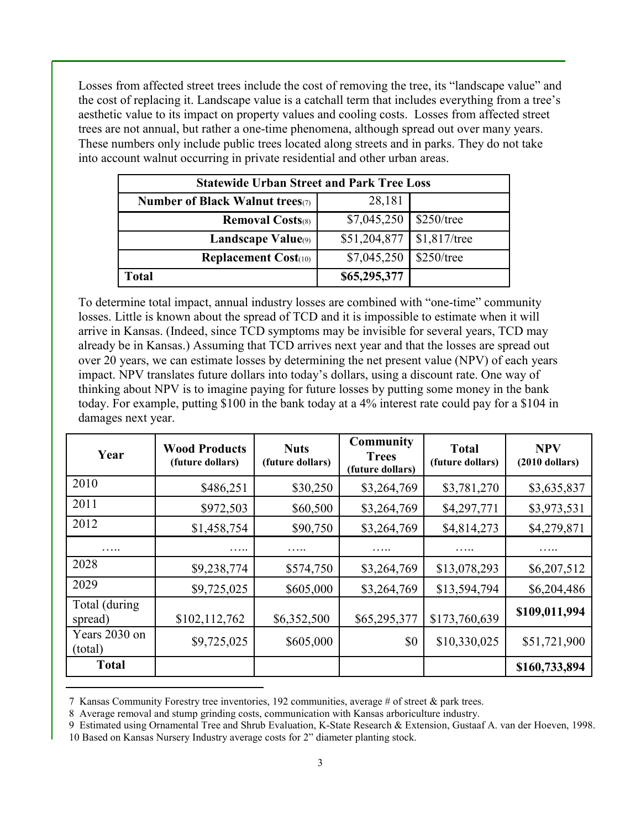Losses from affected street trees include the cost of removing the tree, its "landscape value" and the cost of replacing it. Landscape value is a catchall term that includes everything from a tree's aesthetic value to its impact on property values and cooling costs. Losses from affected street trees are not annual, but rather a one-time phenomena, although spread out over many years. These numbers only include public trees located along streets and in parks. They do not take into account walnut occurring in private residential and other urban areas.

| <b>Statewide Urban Street and Park Tree Loss</b> |              |                |  |  |  |
|--------------------------------------------------|--------------|----------------|--|--|--|
| Number of Black Walnut trees $(7)$               | 28,181       |                |  |  |  |
| <b>Removal Costs</b> (8)                         | \$7,045,250  | $$250$ /tree   |  |  |  |
| <b>Landscape Value</b> (9)                       | \$51,204,877 | $$1,817$ /tree |  |  |  |
| <b>Replacement Cost</b> $(10)$                   | \$7,045,250  | $$250$ /tree   |  |  |  |
| Total                                            | \$65,295,377 |                |  |  |  |

To determine total impact, annual industry losses are combined with "one-time" community losses. Little is known about the spread of TCD and it is impossible to estimate when it will arrive in Kansas. (Indeed, since TCD symptoms may be invisible for several years, TCD may already be in Kansas.) Assuming that TCD arrives next year and that the losses are spread out over 20 years, we can estimate losses by determining the net present value (NPV) of each years impact. NPV translates future dollars into today's dollars, using a discount rate. One way of thinking about NPV is to imagine paying for future losses by putting some money in the bank today. For example, putting \$100 in the bank today at a 4% interest rate could pay for a \$104 in damages next year.

| Year                     | <b>Wood Products</b><br>(future dollars) | <b>Nuts</b><br>(future dollars) | <b>Community</b><br><b>Trees</b><br>(future dollars) | <b>Total</b><br>(future dollars) | <b>NPV</b><br>$(2010$ dollars) |
|--------------------------|------------------------------------------|---------------------------------|------------------------------------------------------|----------------------------------|--------------------------------|
| 2010                     | \$486,251                                | \$30,250                        | \$3,264,769                                          | \$3,781,270                      | \$3,635,837                    |
| 2011                     | \$972,503                                | \$60,500                        | \$3,264,769                                          | \$4,297,771                      | \$3,973,531                    |
| 2012                     | \$1,458,754                              | \$90,750                        | \$3,264,769                                          | \$4,814,273                      | \$4,279,871                    |
| .                        |                                          | .                               |                                                      | .                                |                                |
| 2028                     | \$9,238,774                              | \$574,750                       | \$3,264,769                                          | \$13,078,293                     | \$6,207,512                    |
| 2029                     | \$9,725,025                              | \$605,000                       | \$3,264,769                                          | \$13,594,794                     | \$6,204,486                    |
| Total (during<br>spread) | \$102,112,762                            | \$6,352,500                     | \$65,295,377                                         | \$173,760,639                    | \$109,011,994                  |
| Years 2030 on<br>(total) | \$9,725,025                              | \$605,000                       | \$0                                                  | \$10,330,025                     | \$51,721,900                   |
| <b>Total</b>             |                                          |                                 |                                                      |                                  | \$160,733,894                  |

7 Kansas Community Forestry tree inventories, 192 communities, average # of street & park trees.

8 Average removal and stump grinding costs, communication with Kansas arboriculture industry.

<sup>9</sup> Estimated using Ornamental Tree and Shrub Evaluation, K-State Research & Extension, Gustaaf A. van der Hoeven, 1998. 10 Based on Kansas Nursery Industry average costs for 2" diameter planting stock.